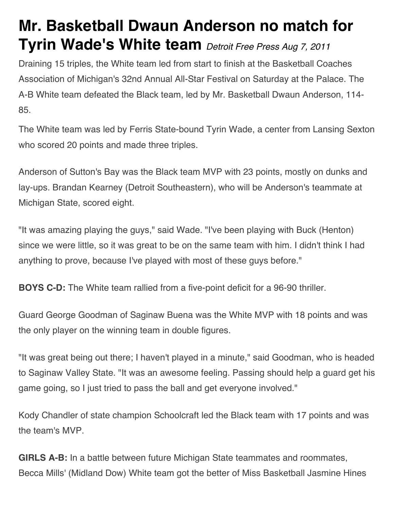## **Mr. Basketball Dwaun Anderson no match for Tyrin Wade's White team** *Detroit Free Press Aug 7, 2011*

Draining 15 triples, the White team led from start to finish at the Basketball Coaches Association of Michigan's 32nd Annual All-Star Festival on Saturday at the Palace. The A-B White team defeated the Black team, led by Mr. Basketball Dwaun Anderson, 114- 85.

The White team was led by Ferris State-bound Tyrin Wade, a center from Lansing Sexton who scored 20 points and made three triples.

Anderson of Sutton's Bay was the Black team MVP with 23 points, mostly on dunks and lay-ups. Brandan Kearney (Detroit Southeastern), who will be Anderson's teammate at Michigan State, scored eight.

"It was amazing playing the guys," said Wade. "I've been playing with Buck (Henton) since we were little, so it was great to be on the same team with him. I didn't think I had anything to prove, because I've played with most of these guys before."

**BOYS C-D:** The White team rallied from a five-point deficit for a 96-90 thriller.

Guard George Goodman of Saginaw Buena was the White MVP with 18 points and was the only player on the winning team in double figures.

"It was great being out there; I haven't played in a minute," said Goodman, who is headed to Saginaw Valley State. "It was an awesome feeling. Passing should help a guard get his game going, so I just tried to pass the ball and get everyone involved."

Kody Chandler of state champion Schoolcraft led the Black team with 17 points and was the team's MVP.

**GIRLS A-B:** In a battle between future Michigan State teammates and roommates, Becca Mills' (Midland Dow) White team got the better of Miss Basketball Jasmine Hines